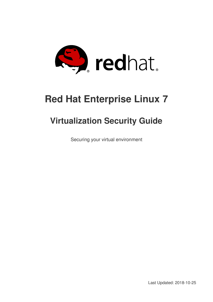

# **Red Hat Enterprise Linux 7**

# **Virtualization Security Guide**

Securing your virtual environment

Last Updated: 2018-10-25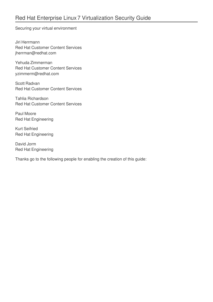Securing your virtual environment

Jiri Herrmann Red Hat Customer Content Services jherrman@redhat.com

Yehuda Zimmerman Red Hat Customer Content Services yzimmerm@redhat.com

Scott Radvan Red Hat Customer Content Services

Tahlia Richardson Red Hat Customer Content Services

Paul Moore Red Hat Engineering

Kurt Seifried Red Hat Engineering

David Jorm Red Hat Engineering

Thanks go to the following people for enabling the creation of this guide: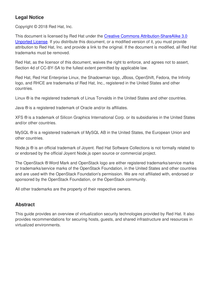### **Legal Notice**

Copyright © 2018 Red Hat, Inc.

This document is licensed by Red Hat under the Creative Commons [Attribution-ShareAlike](http://creativecommons.org/licenses/by-sa/3.0/) 3.0 Unported License. If you distribute this document, or a modified version of it, you must provide attribution to Red Hat, Inc. and provide a link to the original. If the document is modified, all Red Hat trademarks must be removed.

Red Hat, as the licensor of this document, waives the right to enforce, and agrees not to assert, Section 4d of CC-BY-SA to the fullest extent permitted by applicable law.

Red Hat, Red Hat Enterprise Linux, the Shadowman logo, JBoss, OpenShift, Fedora, the Infinity logo, and RHCE are trademarks of Red Hat, Inc., registered in the United States and other countries.

Linux ® is the registered trademark of Linus Torvalds in the United States and other countries.

Java ® is a registered trademark of Oracle and/or its affiliates.

XFS ® is a trademark of Silicon Graphics International Corp. or its subsidiaries in the United States and/or other countries.

MySQL ® is a registered trademark of MySQL AB in the United States, the European Union and other countries.

Node.js ® is an official trademark of Joyent. Red Hat Software Collections is not formally related to or endorsed by the official Joyent Node.js open source or commercial project.

The OpenStack ® Word Mark and OpenStack logo are either registered trademarks/service marks or trademarks/service marks of the OpenStack Foundation, in the United States and other countries and are used with the OpenStack Foundation's permission. We are not affiliated with, endorsed or sponsored by the OpenStack Foundation, or the OpenStack community.

All other trademarks are the property of their respective owners.

### **Abstract**

This guide provides an overview of virtualization security technologies provided by Red Hat. It also provides recommendations for securing hosts, guests, and shared infrastructure and resources in virtualized environments.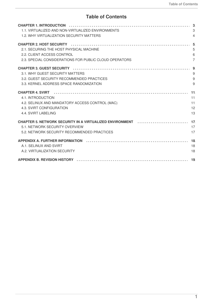### **Table of Contents**

| 1.1. VIRTUALIZED AND NON-VIRTUALIZED ENVIRONMENTS<br>1.2. WHY VIRTUALIZATION SECURITY MATTERS                                   | 3<br>$\overline{4}$      |
|---------------------------------------------------------------------------------------------------------------------------------|--------------------------|
| 2.1. SECURING THE HOST PHYSICAL MACHINE<br>2.2. CLIENT ACCESS CONTROL<br>2.3. SPECIAL CONSIDERATIONS FOR PUBLIC CLOUD OPERATORS | 5<br>6<br>$\overline{7}$ |
|                                                                                                                                 | 9                        |
| 3.1. WHY GUEST SECURITY MATTERS                                                                                                 | 9                        |
| 3.2. GUEST SECURITY RECOMMENDED PRACTICES                                                                                       | 9                        |
| 3.3. KERNEL ADDRESS SPACE RANDOMIZATION                                                                                         | 9                        |
|                                                                                                                                 | 11                       |
| 4.1. INTRODUCTION                                                                                                               | 11                       |
| 4.2. SELINUX AND MANDATORY ACCESS CONTROL (MAC)                                                                                 | 11                       |
| 4.3. SVIRT CONFIGURATION                                                                                                        | 12                       |
| 4.4. SVIRT LABELING                                                                                                             | 13                       |
|                                                                                                                                 | 17                       |
| 5.1. NETWORK SECURITY OVERVIEW                                                                                                  | 17                       |
| 5.2. NETWORK SECURITY RECOMMENDED PRACTICES                                                                                     | 17                       |
|                                                                                                                                 | 18                       |
| A.1. SELINUX AND SVIRT                                                                                                          | 18                       |
| A.2. VIRTUALIZATION SECURITY                                                                                                    | 18                       |
|                                                                                                                                 |                          |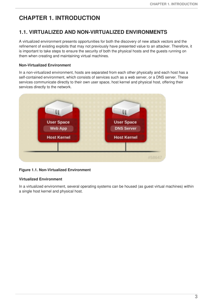# <span id="page-6-0"></span>**CHAPTER 1. INTRODUCTION**

### <span id="page-6-1"></span>**1.1. VIRTUALIZED AND NON-VIRTUALIZED ENVIRONMENTS**

A virtualized environment presents opportunities for both the discovery of new attack vectors and the refinement of existing exploits that may not previously have presented value to an attacker. Therefore, it is important to take steps to ensure the security of both the physical hosts and the guests running on them when creating and maintaining virtual machines.

#### **Non-Virtualized Environment**

In a non-virtualized environment, hosts are separated from each other physically and each host has a self-contained environment, which consists of services such as a web server, or a DNS server. These services communicate directly to their own user space, host kernel and physical host, offering their services directly to the network.



#### **Figure 1.1. Non-Virtualized Environment**

#### **Virtualized Environment**

In a virtualized environment, several operating systems can be housed (as guest virtual machines) within a single host kernel and physical host.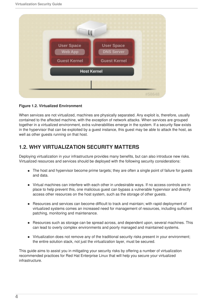

#### **Figure 1.2. Virtualized Environment**

When services are not virtualized, machines are physically separated. Any exploit is, therefore, usually contained to the affected machine, with the exception of network attacks. When services are grouped together in a virtualized environment, extra vulnerabilities emerge in the system. If a security flaw exists in the hypervisor that can be exploited by a guest instance, this guest may be able to attack the host, as well as other guests running on that host.

### <span id="page-7-0"></span>**1.2. WHY VIRTUALIZATION SECURITY MATTERS**

Deploying virtualization in your infrastructure provides many benefits, but can also introduce new risks. Virtualized resources and services should be deployed with the following security considerations:

- The host and hypervisor become prime targets; they are often a single point of failure for guests and data.
- Virtual machines can interfere with each other in undesirable ways. If no access controls are in place to help prevent this, one malicious guest can bypass a vulnerable hypervisor and directly access other resources on the host system, such as the storage of other guests.
- Resources and services can become difficult to track and maintain; with rapid deployment of virtualized systems comes an increased need for management of resources, including sufficient patching, monitoring and maintenance.
- Resources such as storage can be spread across, and dependent upon, several machines. This can lead to overly complex environments and poorly managed and maintained systems.
- Virtualization does not remove any of the traditional security risks present in your environment; the entire solution stack, not just the virtualization layer, must be secured.

This guide aims to assist you in mitigating your security risks by offering a number of virtualization recommended practices for Red Hat Enterprise Linux that will help you secure your virtualized infrastructure.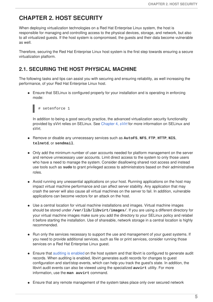# <span id="page-8-0"></span>**CHAPTER 2. HOST SECURITY**

When deploying virtualization technologies on a Red Hat Enterprise Linux system, the host is responsible for managing and controlling access to the physical devices, storage, and network, but also to all virtualized guests. If the host system is compromised, the guests and their data become vulnerable as well.

Therefore, securing the Red Hat Enterprise Linux host system is the first step towards ensuring a secure virtualization platform.

# <span id="page-8-1"></span>**2.1. SECURING THE HOST PHYSICAL MACHINE**

The following tasks and tips can assist you with securing and ensuring reliability, as well increasing the performance, of your Red Hat Enterprise Linux host.

Ensure that SELinux is configured properly for your installation and is operating in enforcing mode:

```
# setenforce 1
```
In addition to being a good security practice, the advanced virtualization security functionality provided by sVirt relies on SELinux. See [Chapter](#page-16-1) 4, *sVirt* for more information on SELinux and sVirt.

- Remove or disable any unnecessary services such as **AutoFS**, **NFS**, **FTP**, **HTTP**, **NIS**, **telnetd**, or **sendmail**.
- Only add the minimum number of user accounts needed for platform management on the server and remove unnecessary user accounts. Limit direct access to the system to only those users who have a need to manage the system. Consider disallowing shared root access and instead use tools such as **sudo** to grant privileged access to administrators based on their administrative roles.
- Avoid running any unessential applications on your host. Running applications on the host may impact virtual machine performance and can affect server stability. Any application that may crash the server will also cause all virtual machines on the server to fail. In addition, vulnerable applications can become vectors for an attack on the host.
- Use a central location for virtual machine installations and images. Virtual machine images should be stored under **/var/lib/libvirt/images/**. If you are using a different directory for your virtual machine images make sure you add the directory to your SELinux policy and relabel it before starting the installation. Use of shareable, network storage in a central location is highly recommended.
- Run only the services necessary to support the use and management of your quest systems. If you need to provide additional services, such as file or print services, consider running those services on a Red Hat Enterprise Linux guest.
- Ensure that auditing is [enabled](https://libvirt.org/auditlog.html) on the host system and that libvirt is configured to generate audit records. When auditing is enabled, libvirt generates audit records for changes to guest configuration and start/stop events, which can help you track the guest's state. In addition, the libvirt audit events can also be viewed using the specialized **auvirt** utility. For more information, use the **man auvirt** command.
- Ensure that any remote management of the system takes place only over secured network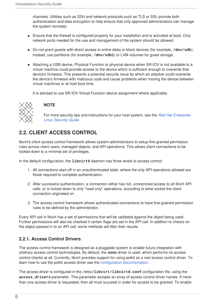channels. Utilities such as SSH and network protocols such as TLS or SSL provide both authentication and data encryption to help ensure that only approved administrators can manage the system remotely.

- Ensure that the firewall is configured properly for your installation and is activated at boot. Only network ports needed for the use and management of the system should be allowed.
- Do not grant guests with direct access to entire disks or block devices (for example, **/dev/sdb**); instead, use partitions (for example, **/dev/sdb1**) or LVM volumes for guest storage.
- Attaching a USB device, Physical Function or physical device when SR-IOV is not available to a virtual machine could provide access to the device which is sufficient enough to overwrite that device's firmware. This presents a potential security issue by which an attacker could overwrite the device's firmware with malicious code and cause problems when moving the device between virtual machines or at host boot time.

It is advised to use SR-IOV Virtual Function device assignment where applicable.



### **NOTE**

For more security tips and [instructions](https://access.redhat.com/documentation/en-US/Red_Hat_Enterprise_Linux/7/html/Security_Guide/index.html) for your host system, see the *Red Hat Enterprise Linux Security Guide*.

# <span id="page-9-0"></span>**2.2. CLIENT ACCESS CONTROL**

libvirt's client access control framework allows system administrators to setup fine-grained permission rules across client users, managed objects, and API operations. This allows client connections to be locked down to a minimal set of privileges.

In the default configuration, the **libvirtd** daemon has three levels of access control:

- 1. All connections start off in an unauthenticated state, where the only API operations allowed are those required to complete authentication.
- 2. After successful authentication, a connection either has full, unrestricted access to all libvirt API calls, or is locked down to only "read only" operations, according to what socket the client connection originated on.
- 3. The access control framework allows authenticated connections to have fine-grained permission rules to be defined by the administrator.

Every API call in libvirt has a set of permissions that will be validated against the object being used. Further permissions will also be checked if certain flags are set in the API call. In addition to checks on the object passed in to an API call, some methods will filter their results.

#### **2.2.1. Access Control Drivers**

The access control framework is designed as a pluggable system to enable future integration with arbitrary access control technologies. By default, the **none** driver is used, which performs no access control checks at all. Currently, libvirt provides support for using polkit as a real access control driver. To learn how to use the polkit access driver see the configuration [documentation](http://libvirt.org/aclpolkit.html).

The access driver is configured in the **/etc/libvirt/libvirtd.conf** configuration file, using the *access\_drivers* parameter. This parameter accepts an array of access control driver names. If more than one access driver is requested, then all must succeed in order for access to be granted. To enable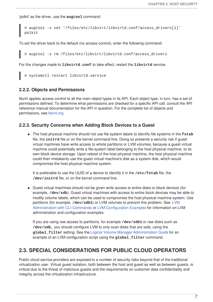'polkit' as the driver, use the **augtool** command:

```
# augtool -s set '/files/etc/libvirt/libvirtd.conf/access_drivers[1]'
polkit
```
To set the driver back to the default (no access control), enter the following command:

# augtool -s rm /files/etc/libvirt/libvirtd.conf/access\_drivers

For the changes made to **libvirtd.conf** to take effect, restart the **libvirtd** service.

# systemctl restart libvirtd.service

#### **2.2.2. Objects and Permissions**

libvirt applies access control to all the main object types in its API. Each object type, in turn, has a set of permissions defined. To determine what permissions are checked for a specific API call, consult the API reference manual documentation for the API in question. For the complete list of objects and permissions, see [libvirt.org.](http://libvirt.org/acl.html)

#### **2.2.3. Security Concerns when Adding Block Devices to a Guest**

The host physical machine should not use file system labels to identify file systems in the **fstab** file, the **initrd** file or on the kernel command line. Doing so presents a security risk if guest virtual machines have write access to whole partitions or LVM volumes, because a guest virtual machine could potentially write a file-system label belonging to the host physical machine, to its own block device storage. Upon reboot of the host physical machine, the host physical machine could then mistakenly use the guest virtual machine's disk as a system disk, which would compromise the host physical machine system.

It is preferable to use the UUID of a device to identify it in the **/etc/fstab** file, the **/dev/initrd** file, or on the kernel command line.

Guest virtual machines should not be given write access to entire disks or block devices (for example, **/dev/sdb**). Guest virtual machines with access to entire block devices may be able to modify volume labels, which can be used to compromise the host physical machine system. Use partitions (for example, **/dev/sdb1**) or LVM volumes to prevent this problem. See LVM [Administration](https://access.redhat.com/documentation/en-US/Red_Hat_Enterprise_Linux/7/html/Logical_Volume_Manager_Administration/LVM_CLI.html) with CLI Commands or LVM [Configuration](https://access.redhat.com/documentation/en-US/Red_Hat_Enterprise_Linux/7/html/Logical_Volume_Manager_Administration/LVM_examples.html) Examples for information on LVM administration and configuration examples.

If you are using raw access to partitions, for example **/dev/sdb1** or raw disks such as **/dev/sdb,** you should configure LVM to only scan disks that are safe, using the **global\_filter** setting. See the Logical Volume Manager [Administration](https://access.redhat.com/documentation/en-US/Red_Hat_Enterprise_Linux/7/html/Logical_Volume_Manager_Administration/lvmconf_file.html) Guide for an example of an LVM configuration script using the **global\_filter** command.

### <span id="page-10-0"></span>**2.3. SPECIAL CONSIDERATIONS FOR PUBLIC CLOUD OPERATORS**

Public cloud service providers are exposed to a number of security risks beyond that of the traditional virtualization user. Virtual guest isolation, both between the host and guest as well as between guests, is critical due to the threat of malicious guests and the requirements on customer data confidentiality and integrity across the virtualization infrastructure.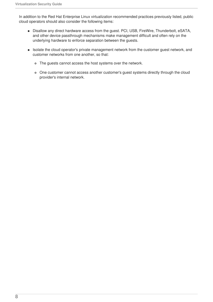In addition to the Red Hat Enterprise Linux virtualization recommended practices previously listed, public cloud operators should also consider the following items:

- Disallow any direct hardware access from the guest. PCI, USB, FireWire, Thunderbolt, eSATA, and other device passthrough mechanisms make management difficult and often rely on the underlying hardware to enforce separation between the guests.
- Isolate the cloud operator's private management network from the customer guest network, and customer networks from one another, so that:
	- The guests cannot access the host systems over the network.
	- One customer cannot access another customer's guest systems directly through the cloud provider's internal network.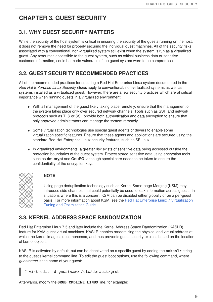# <span id="page-12-0"></span>**CHAPTER 3. GUEST SECURITY**

## <span id="page-12-1"></span>**3.1. WHY GUEST SECURITY MATTERS**

While the security of the host system is critical in ensuring the security of the guests running on the host, it does not remove the need for properly securing the individual guest machines. All of the security risks associated with a conventional, non-virtualized system still exist when the system is run as a virtualized guest. Any resources accessible to the guest system, such as critical business data or sensitive customer information, could be made vulnerable if the guest system were to be compromised.

## <span id="page-12-2"></span>**3.2. GUEST SECURITY RECOMMENDED PRACTICES**

All of the recommended practices for securing a Red Hat Enterprise Linux system documented in the *Red Hat Enterprise Linux Security Guide* apply to conventional, non-virtualized systems as well as systems installed as a virtualized guest. However, there are a few security practices which are of critical importance when running guests in a virtualized environment:

- With all management of the guest likely taking place remotely, ensure that the management of the system takes place only over secured network channels. Tools such as SSH and network protocols such as TLS or SSL provide both authentication and data encryption to ensure that only approved administrators can manage the system remotely.
- Some virtualization technologies use special guest agents or drivers to enable some virtualization specific features. Ensure that these agents and applications are secured using the standard Red Hat Enterprise Linux security features, such as SELinux.
- In virtualized environments, a greater risk exists of sensitive data being accessed outside the protection boundaries of the guest system. Protect stored sensitive data using encryption tools such as **dm-crypt** and **GnuPG**; although special care needs to be taken to ensure the confidentiality of the encryption keys.



### **NOTE**

Using page deduplication technology such as Kernel Same-page Merging (KSM) may introduce side channels that could potentially be used to leak information across guests. In situations where this is a concern, KSM can be disabled either globally or on a per-guest basis. For more information about KSM, see the Red Hat Enterprise Linux 7 [Virtualization](https://access.redhat.com/documentation/en-US/Red_Hat_Enterprise_Linux/7/html/Virtualization_Tuning_and_Optimization_Guide/index.html) Tuning and Optimization Guide.

### <span id="page-12-3"></span>**3.3. KERNEL ADDRESS SPACE RANDOMIZATION**

Red Hat Enterprise Linux 7.5 and later include the Kernel Address Space Randomization (KASLR) feature for KVM guest virtual machines. KASLR enables randomizing the physical and virtual address at which the kernel image is decompressed, and thus prevents guest security exploits based on the location of kernel objects.

KASLR is activated by default, but can be deactivated on a specific guest by adding the **nokaslr** string to the guest's kernel command line. To edit the guest boot options, use the following command, where *guestname* is the name of your guest:

# virt-edit -d *guestname* /etc/default/grub

Afterwards, modify the **GRUB\_CMDLINE\_LINUX** line, for example: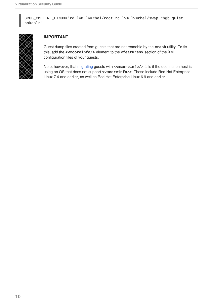GRUB\_CMDLINE\_LINUX="rd.lvm.lv=rhel/root rd.lvm.lv=rhel/swap rhgb quiet nokaslr"



#### **IMPORTANT**

Guest dump files created from guests that are not readable by the **crash** utility. To fix this, add the **<vmcoreinfo/>** element to the **<features>** section of the XML configuration files of your guests.

Note, however, that [migrating](https://access.redhat.com/documentation/en-us/red_hat_enterprise_linux/7/html/virtualization_deployment_and_administration_guide/chap-kvm_live_migration) guests with **<vmcoreinfo/>** fails if the destination host is using an OS that does not support **<vmcoreinfo/>**. These include Red Hat Enterprise Linux 7.4 and earlier, as well as Red Hat Enterprise Linux 6.9 and earlier.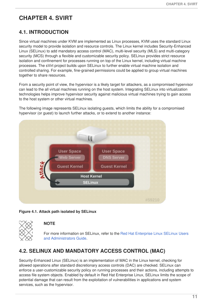# <span id="page-14-0"></span>**CHAPTER 4. SVIRT**

# <span id="page-14-1"></span>**4.1. INTRODUCTION**

Since virtual machines under KVM are implemented as Linux processes, KVM uses the standard Linux security model to provide isolation and resource controls. The Linux kernel includes Security-Enhanced Linux (SELinux) to add mandatory access control (MAC), multi-level security (MLS) and multi-category security (MCS) through a flexible and customizable security policy. SELinux provides strict resource isolation and confinement for processes running on top of the Linux kernel, including virtual machine processes. The sVirt project builds upon SELinux to further enable virtual machine isolation and controlled sharing. For example, fine-grained permissions could be applied to group virtual machines together to share resources.

From a security point of view, the hypervisor is a likely target for attackers, as a compromised hypervisor can lead to the all virtual machines running on the host system. Integrating SELinux into virtualization technologies helps improve hypervisor security against malicious virtual machines trying to gain access to the host system or other virtual machines.

The following image represents SELinux isolating guests, which limits the ability for a compromised hypervisor (or guest) to launch further attacks, or to extend to another instance:



**Figure 4.1. Attack path isolated by SELinux**



#### **NOTE**

For more information on SELinux, refer to the Red Hat Enterprise Linux SELinux Users and [Administrators](https://access.redhat.com/documentation/en-US/Red_Hat_Enterprise_Linux/7/html/SELinux_Users_and_Administrators_Guide/index.html) Guide.

### <span id="page-14-2"></span>**4.2. SELINUX AND MANDATORY ACCESS CONTROL (MAC)**

Security-Enhanced Linux (SELinux) is an implementation of MAC in the Linux kernel, checking for allowed operations after standard discretionary access controls (DAC) are checked. SELinux can enforce a user-customizable security policy on running processes and their actions, including attempts to access file system objects. Enabled by default in Red Hat Enterprise Linux, SELinux limits the scope of potential damage that can result from the exploitation of vulnerabilities in applications and system services, such as the hypervisor.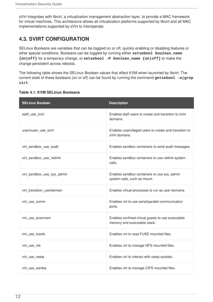sVirt integrates with libvirt, a virtualization management abstraction layer, to provide a MAC framework for virtual machines. This architecture allows all virtualization platforms supported by libvirt and all MAC implementations supported by sVirt to interoperate.

### <span id="page-15-0"></span>**4.3. SVIRT CONFIGURATION**

SELinux Booleans are variables that can be toggled on or off, quickly enabling or disabling features or other special conditions. Booleans can be toggled by running either **setsebool** *boolean\_name* **{on|off}** for a temporary change, or **setsebool -P** *boolean\_name* **{on|off}** to make the change persistent across reboots.

The following table shows the SELinux Boolean values that affect KVM when launched by libvirt. The current state of these booleans (on or off) can be found by running the command **getsebool -a|grep virt**.

| <b>SELinux Boolean</b>     | <b>Description</b>                                                                |
|----------------------------|-----------------------------------------------------------------------------------|
| staff_use_svirt            | Enables staff users to create and transition to sVirt<br>domains.                 |
| unprivuser_use_svirt       | Enables unprivileged users to create and transition to<br>sVirt domains.          |
| virt_sandbox_use_audit     | Enables sandbox containers to send audit messages.                                |
| virt_sandbox_use_netlink   | Enables sandbox containers to use netlink system<br>calls.                        |
| virt_sandbox_use_sys_admin | Enables sandbox containers to use sys_admin<br>system calls, such as mount.       |
| virt_transition_userdomain | Enables virtual processes to run as user domains.                                 |
| virt_use_comm              | Enables virt to use serial/parallel communication<br>ports.                       |
| virt_use_execmem           | Enables confined virtual guests to use executable<br>memory and executable stack. |
| virt_use_fusefs            | Enables virt to read FUSE mounted files.                                          |
| virt_use_nfs               | Enables virt to manage NFS mounted files.                                         |
| virt_use_rawip             | Enables virt to interact with rawip sockets.                                      |
| virt_use_samba             | Enables virt to manage CIFS mounted files.                                        |

#### **Table 4.1. KVM SELinux Booleans**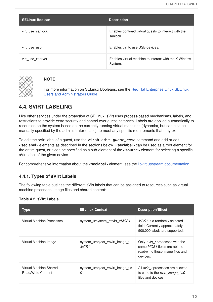<span id="page-16-1"></span>

| <b>SELinux Boolean</b> | <b>Description</b>                                               |
|------------------------|------------------------------------------------------------------|
| virt use sanlock       | Enables confined virtual guests to interact with the<br>sanlock. |
| virt use usb           | Enables virt to use USB devices.                                 |
| virt use_xserver       | Enables virtual machine to interact with the X Window<br>System. |



#### **NOTE**

For more information on SELinux Booleans, see the Red Hat Enterprise Linux SELinux Users and [Administrators](https://access.redhat.com/documentation/en-US/Red_Hat_Enterprise_Linux/7/html/SELinux_Users_and_Administrators_Guide/index.html) Guide.

## <span id="page-16-0"></span>**4.4. SVIRT LABELING**

Like other services under the protection of SELinux, sVirt uses process-based mechanisms, labels, and restrictions to provide extra security and control over guest instances. Labels are applied automatically to resources on the system based on the currently running virtual machines (dynamic), but can also be manually specified by the administrator (static), to meet any specific requirements that may exist.

To edit the sVirt label of a guest, use the **virsh edit** *guest\_name* command and add or edit **<seclabel>** elements as described in the sections below. **<seclabel>** can be used as a root element for the entire guest, or it can be specified as a sub-element of the **<source>** element for selecting a specific sVirt label of the given device.

For comprehensive information about the **<seclabel>** element, see the libvirt upstream [documentation.](https://libvirt.org/formatdomain.html#seclabel)

#### **4.4.1. Types of sVirt Labels**

The following table outlines the different sVirt labels that can be assigned to resources such as virtual machine processes, image files and shared content:

#### **Table 4.2. sVirt Labels**

| Type                                         | <b>SELinux Context</b>                               | <b>Description/Effect</b>                                                                                       |
|----------------------------------------------|------------------------------------------------------|-----------------------------------------------------------------------------------------------------------------|
| Virtual Machine Processes                    | system u:system r:svirt t:MCS1                       | MCS1 is a randomly selected<br>field. Currently approximately<br>500,000 labels are supported.                  |
| Virtual Machine Image                        | system u:object r:svirt image t:<br>MCS <sub>1</sub> | Only svirt_t processes with the<br>same MCS1 fields are able to<br>read/write these image files and<br>devices. |
| Virtual Machine Shared<br>Read/Write Content | system_u:object_r:svirt_image_t:s<br>0               | All <i>svirt t</i> processes are allowed<br>to write to the svirt_image_t:s0<br>files and devices.              |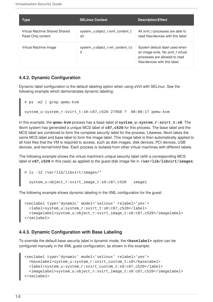| <b>Type</b>                                        | <b>SELinux Context</b>                         | <b>Description/Effect</b>                                                                                                               |
|----------------------------------------------------|------------------------------------------------|-----------------------------------------------------------------------------------------------------------------------------------------|
| Virtual Machine Shared Shared<br>Read Only content | system u:object r:svirt content t:<br>s0       | All svirt t processes are able to<br>read files/devices with this label.                                                                |
| Virtual Machine Image                              | system u:object r:virt content t:s<br>$\Omega$ | System default label used when<br>an image exits. No svirt t virtual<br>processes are allowed to read<br>files/devices with this label. |

#### **4.4.2. Dynamic Configuration**

Dynamic label configuration is the default labeling option when using sVirt with SELinux. See the following example which demonstrates dynamic labeling:

```
# ps -eZ | grep qemu-kvm
system_u:system_r:svirt_t:s0:c87,c520 27950 ? 00:00:17 qemu-kvm
```
In this example, the **qemu-kvm** process has a base label of **system\_u:system\_r:svirt\_t:s0**. The libvirt system has generated a unique MCS label of  $c87$ ,  $c520$  for this process. The base label and the MCS label are combined to form the complete security label for the process. Likewise, libvirt takes the same MCS label and base label to form the image label. This image label is then automatically applied to all host files that the VM is required to access, such as disk images, disk devices, PCI devices, USB devices, and kernel/initrd files. Each process is isolated from other virtual machines with different labels.

The following example shows the virtual machine's unique security label (with a corresponding MCS label of **c87,c520** in this case) as applied to the guest disk image file in **/var/lib/libvirt/images**:

```
# ls -lZ /var/lib/libvirt/images/*
  system_u:object_r:svirt_image_t:s0:c87,c520 image1
```
The following example shows dynamic labeling in the XML configuration for the guest:

```
<seclabel type='dynamic' model='selinux' relabel='yes'>
  <label>system_u:system_r:svirt_t:s0:c87,c520</label>
  <imagelabel>system_u:object_r:svirt_image_t:s0:c87,c520</imagelabel>
</seclabel>
```
#### **4.4.3. Dynamic Configuration with Base Labeling**

To override the default base security label in dynamic mode, the **<baselabel>** option can be configured manually in the XML guest configuration, as shown in this example:

```
<seclabel type='dynamic' model='selinux' relabel='yes'>
  <baselabel>system_u:system_r:svirt_custom_t:s0</baselabel>
  <label>system_u:system_r:svirt_custom_t:s0:c87,c520</label>
  <imagelabel>system_u:object_r:svirt_image_t:s0:c87,c520</imagelabel>
</seclabel>
```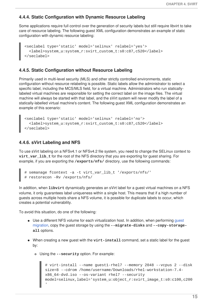#### **4.4.4. Static Configuration with Dynamic Resource Labeling**

Some applications require full control over the generation of security labels but still require libvirt to take care of resource labeling. The following guest XML configuration demonstrates an example of static configuration with dynamic resource labeling:

```
<seclabel type='static' model='selinux' relabel='yes'>
  <label>system_u:system_r:svirt_custom_t:s0:c87,c520</label>
</seclabel>
```
#### **4.4.5. Static Configuration without Resource Labeling**

Primarily used in multi-level security (MLS) and other strictly controlled environments, static configuration without resource relabeling is possible. Static labels allow the administrator to select a specific label, including the MCS/MLS field, for a virtual machine. Administrators who run staticallylabeled virtual machines are responsible for setting the correct label on the image files. The virtual machine will always be started with that label, and the sVirt system will never modify the label of a statically-labelled virtual machine's content. The following guest XML configuration demonstrates an example of this scenario:

```
<seclabel type='static' model='selinux' relabel='no'>
  <label>system_u:system_r:svirt_custom_t:s0:c87,c520</label>
</seclabel>
```
#### **4.4.6. sVirt Labeling and NFS**

To use sVirt labeling on a NFSv4.1 or NFSv4.2 file system, you need to change the SELinux context to **virt\_var\_lib\_t** for the root of the NFS directory that you are exporting for guest sharing. For example, if you are exporting the **/exports/nfs/** directory, use the following commands:

```
# semanage fcontext -a -t virt_var_lib_t '/exports/nfs/'
 restorecon -Rv /exports/nfs/
```
In addition, when **libvirt** dynamically generates an sVirt label for a guest virtual machines on a NFS volume, it only guarantees label uniqueness within a single host. This means that if a high number of guests across multiple hosts share a NFS volume, it is possible for duplicate labels to occur, which creates a potential vulnerability.

To avoid this situation, do one of the following:

- Use a different NFS volume for each virtualization host. In addition, when performing guest migration, copy the guest storage by using the **[--migrate-disks](https://access.redhat.com/documentation/en-US/Red_Hat_Enterprise_Linux/7/html/Virtualization_Deployment_and_Administration_Guide/chap-KVM_live_migration.html)** and **--copy-storageall** options.
- When creating a new guest with the **virt-install** command, set a static label for the guest by:
	- Using the **--security** option. For example:

```
# virt-install --name guest1-rhel7 --memory 2048 --vcpus 2 --disk
size=8 --cdrom /home/username/Downloads/rhel-workstation-7.4-
x86_64-dvd.iso --os-variant rhel7 --security
model=selinux,label='system_u:object_r:svirt_image_t:s0:c100,c200
'
```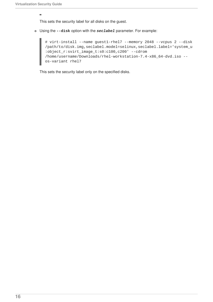$\blacksquare$ 

This sets the security label for all disks on the guest.

Using the **--disk** option with the *seclabel* parameter. For example:

```
# virt-install --name guest1-rhel7 --memory 2048 --vcpus 2 --disk
/path/to/disk.img,seclabel.model=selinux,seclabel.label='system_u
:object_r:svirt_image_t:s0:c100,c200' --cdrom
/home/username/Downloads/rhel-workstation-7.4-x86_64-dvd.iso --
os-variant rhel7
```
This sets the security label only on the specified disks.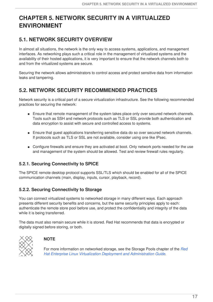# <span id="page-20-0"></span>**CHAPTER 5. NETWORK SECURITY IN A VIRTUALIZED ENVIRONMENT**

# <span id="page-20-1"></span>**5.1. NETWORK SECURITY OVERVIEW**

In almost all situations, the network is the only way to access systems, applications, and management interfaces. As networking plays such a critical role in the management of virtualized systems and the availability of their hosted applications, it is very important to ensure that the network channels both to and from the virtualized systems are secure.

Securing the network allows administrators to control access and protect sensitive data from information leaks and tampering.

# <span id="page-20-2"></span>**5.2. NETWORK SECURITY RECOMMENDED PRACTICES**

Network security is a critical part of a secure virtualization infrastructure. See the following recommended practices for securing the network:

- Ensure that remote management of the system takes place only over secured network channels. Tools such as SSH and network protocols such as TLS or SSL provide both authentication and data encryption to assist with secure and controlled access to systems.
- Ensure that guest applications transferring sensitive data do so over secured network channels. If protocols such as TLS or SSL are not available, consider using one like IPsec.
- Configure firewalls and ensure they are activated at boot. Only network ports needed for the use and management of the system should be allowed. Test and review firewall rules regularly.

### **5.2.1. Securing Connectivity to SPICE**

The SPICE remote desktop protocol supports SSL/TLS which should be enabled for all of the SPICE communication channels (main, display, inputs, cursor, playback, record).

### **5.2.2. Securing Connectivity to Storage**

You can connect virtualized systems to networked storage in many different ways. Each approach presents different security benefits and concerns, but the same security principles apply to each: authenticate the remote store pool before use, and protect the confidentiality and integrity of the data while it is being transferred.

The data must also remain secure while it is stored. Red Hat recommends that data is encrypted or digitally signed before storing, or both.



#### **NOTE**

For more information on networked storage, see the Storage Pools chapter of the *Red Hat Enterprise Linux Virtualization Deployment and [Administration](https://access.redhat.com/documentation/en-US/Red_Hat_Enterprise_Linux/7/html/Virtualization_Deployment_and_Administration_Guide/chap-Storage_pools.html) Guide*.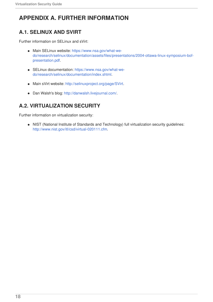# <span id="page-21-0"></span>**APPENDIX A. FURTHER INFORMATION**

# <span id="page-21-1"></span>**A.1. SELINUX AND SVIRT**

Further information on SELinux and sVirt:

- Main SELinux website: https://www.nsa.gov/what-we[do/research/selinux/documentation/assets/files/presentations/2004-ottawa-linux-symposium-bof](https://www.nsa.gov/what-we-do/research/selinux/documentation/assets/files/presentations/2004-ottawa-linux-symposium-bof-presentation.pdf)presentation.pdf.
- SELinux documentation: https://www.nsa.gov/what-we[do/research/selinux/documentation/index.shtml.](https://www.nsa.gov/what-we-do/research/selinux/documentation/index.shtml)
- Main sVirt website: [http://selinuxproject.org/page/SVirt.](http://selinuxproject.org/page/SVirt)
- Dan Walsh's blog: [http://danwalsh.livejournal.com/.](http://danwalsh.livejournal.com/)

# <span id="page-21-2"></span>**A.2. VIRTUALIZATION SECURITY**

Further information on virtualization security:

NIST (National Institute of Standards and Technology) full virtualization security guidelines: [http://www.nist.gov/itl/csd/virtual-020111.cfm.](http://www.nist.gov/itl/csd/virtual-020111.cfm)